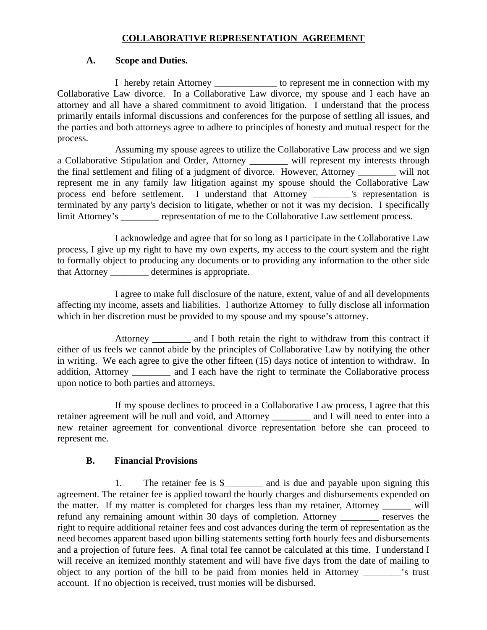# **COLLABORATIVE REPRESENTATION AGREEMENT**

## **A. Scope and Duties.**

I hereby retain Attorney \_\_\_\_\_\_\_\_\_\_\_\_\_ to represent me in connection with my Collaborative Law divorce. In a Collaborative Law divorce, my spouse and I each have an attorney and all have a shared commitment to avoid litigation. I understand that the process primarily entails informal discussions and conferences for the purpose of settling all issues, and the parties and both attorneys agree to adhere to principles of honesty and mutual respect for the process.

Assuming my spouse agrees to utilize the Collaborative Law process and we sign a Collaborative Stipulation and Order, Attorney \_\_\_\_\_\_\_\_ will represent my interests through the final settlement and filing of a judgment of divorce. However, Attorney \_\_\_\_\_\_\_\_ will not represent me in any family law litigation against my spouse should the Collaborative Law process end before settlement. I understand that Attorney \_\_\_\_\_\_\_\_'s representation is terminated by any party's decision to litigate, whether or not it was my decision. I specifically limit Attorney's \_\_\_\_\_\_\_\_ representation of me to the Collaborative Law settlement process.

I acknowledge and agree that for so long as I participate in the Collaborative Law process, I give up my right to have my own experts, my access to the court system and the right to formally object to producing any documents or to providing any information to the other side that Attorney \_\_\_\_\_\_\_\_ determines is appropriate.

I agree to make full disclosure of the nature, extent, value of and all developments affecting my income, assets and liabilities. I authorize Attorney to fully disclose all information which in her discretion must be provided to my spouse and my spouse's attorney.

Attorney \_\_\_\_\_\_\_\_ and I both retain the right to withdraw from this contract if either of us feels we cannot abide by the principles of Collaborative Law by notifying the other in writing. We each agree to give the other fifteen (15) days notice of intention to withdraw. In addition, Attorney \_\_\_\_\_\_\_\_ and I each have the right to terminate the Collaborative process upon notice to both parties and attorneys.

If my spouse declines to proceed in a Collaborative Law process, I agree that this retainer agreement will be null and void, and Attorney \_\_\_\_\_\_\_\_ and I will need to enter into a new retainer agreement for conventional divorce representation before she can proceed to represent me.

## **B. Financial Provisions**

1. The retainer fee is \$\_\_\_\_\_\_\_\_\_ and is due and payable upon signing this agreement. The retainer fee is applied toward the hourly charges and disbursements expended on the matter. If my matter is completed for charges less than my retainer, Attorney \_\_\_\_\_\_ will refund any remaining amount within 30 days of completion. Attorney \_\_\_\_\_\_\_\_ reserves the right to require additional retainer fees and cost advances during the term of representation as the need becomes apparent based upon billing statements setting forth hourly fees and disbursements and a projection of future fees. A final total fee cannot be calculated at this time. I understand I will receive an itemized monthly statement and will have five days from the date of mailing to object to any portion of the bill to be paid from monies held in Attorney \_\_\_\_\_\_\_\_'s trust account. If no objection is received, trust monies will be disbursed.